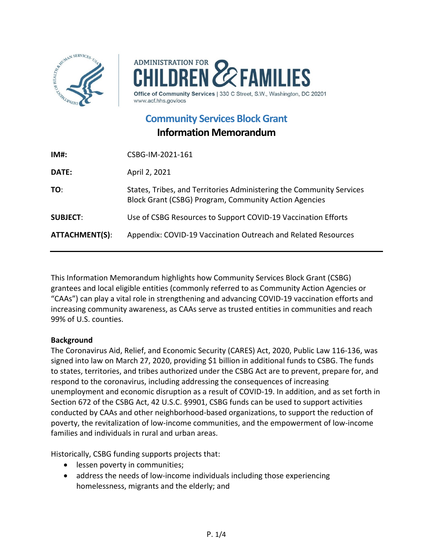



www.acf.hhs.gov/ocs

**Community [Services Block Grant](https://www.acf.hhs.gov/ocs/programs/csbg)**

# **Information Memorandum**

| CSBG-IM-2021-161                                                                                                                     |
|--------------------------------------------------------------------------------------------------------------------------------------|
| April 2, 2021                                                                                                                        |
| States, Tribes, and Territories Administering the Community Services<br><b>Block Grant (CSBG) Program, Community Action Agencies</b> |
| Use of CSBG Resources to Support COVID-19 Vaccination Efforts                                                                        |
| Appendix: COVID-19 Vaccination Outreach and Related Resources                                                                        |
|                                                                                                                                      |

This Information Memorandum highlights how Community Services Block Grant (CSBG) grantees and local eligible entities (commonly referred to as Community Action Agencies or "CAAs") can play a vital role in strengthening and advancing COVID-19 vaccination efforts and increasing community awareness, as CAAs serve as trusted entities in communities and reach 99% of U.S. counties.

### **Background**

The Coronavirus Aid, Relief, and Economic Security (CARES) Act, 2020, Public Law 116-136, was signed into law on March 27, 2020, providing \$1 billion in additional funds to CSBG. The funds to states, territories, and tribes authorized under the CSBG Act are to prevent, prepare for, and respond to the coronavirus, including addressing the consequences of increasing unemployment and economic disruption as a result of COVID-19. In addition, and as set forth in Section 672 of the CSBG Act, 42 U.S.C. §9901, CSBG funds can be used to support activities conducted by CAAs and other neighborhood-based organizations, to support the reduction of poverty, the revitalization of low-income communities, and the empowerment of low-income families and individuals in rural and urban areas.

Historically, CSBG funding supports projects that:

- lessen poverty in communities;
- address the needs of low-income individuals including those experiencing homelessness, migrants and the elderly; and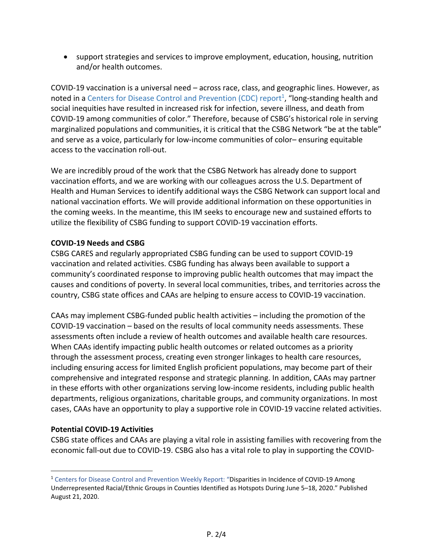• support strategies and services to improve employment, education, housing, nutrition and/or health outcomes.

COVID-19 vaccination is a universal need – across race, class, and geographic lines. However, as noted in a Centers for Disease Control and Prevention (CDC) report<sup>1</sup>, "long-standing health and social inequities have resulted in increased risk for infection, severe illness, and death from COVID-19 among communities of color." Therefore, because of CSBG's historical role in serving marginalized populations and communities, it is critical that the CSBG Network "be at the table" and serve as a voice, particularly for low-income communities of color– ensuring equitable access to the vaccination roll-out.

We are incredibly proud of the work that the CSBG Network has already done to support vaccination efforts, and we are working with our colleagues across the U.S. Department of Health and Human Services to identify additional ways the CSBG Network can support local and national vaccination efforts. We will provide additional information on these opportunities in the coming weeks. In the meantime, this IM seeks to encourage new and sustained efforts to utilize the flexibility of CSBG funding to support COVID-19 vaccination efforts.

### **COVID-19 Needs and CSBG**

CSBG CARES and regularly appropriated CSBG funding can be used to support COVID-19 vaccination and related activities. CSBG funding has always been available to support a community's coordinated response to improving public health outcomes that may impact the causes and conditions of poverty. In several local communities, tribes, and territories across the country, CSBG state offices and CAAs are helping to ensure access to COVID-19 vaccination.

CAAs may implement CSBG-funded public health activities – including the promotion of the COVID-19 vaccination – based on the results of local community needs assessments. These assessments often include a review of health outcomes and available health care resources. When CAAs identify impacting public health outcomes or related outcomes as a priority through the assessment process, creating even stronger linkages to health care resources, including ensuring access for limited English proficient populations, may become part of their comprehensive and integrated response and strategic planning. In addition, CAAs may partner in these efforts with other organizations serving low-income residents, including public health departments, religious organizations, charitable groups, and community organizations. In most cases, CAAs have an opportunity to play a supportive role in COVID-19 vaccine related activities.

### **Potential COVID-19 Activities**

CSBG state offices and CAAs are playing a vital role in assisting families with recovering from the economic fall-out due to COVID-19. CSBG also has a vital role to play in supporting the COVID-

<sup>1</sup> Centers for Disease Control and Prevention Weekly Report: "Disparities in Incidence of COVID-19 Among Underrepresented Racial/Ethnic Groups in Counties Identified as Hotspots During June 5–18, 2020." Published August 21, 2020.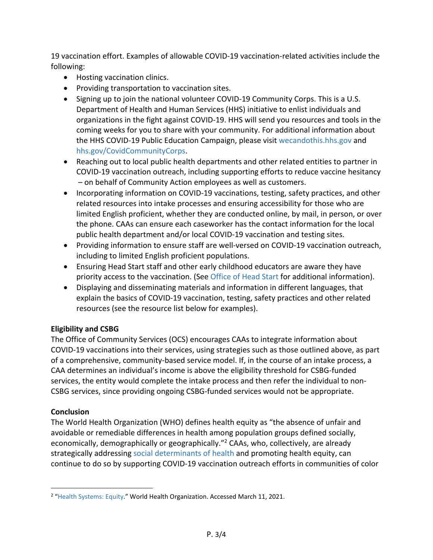19 vaccination effort. Examples of allowable COVID-19 vaccination-related activities include the following:

- Hosting vaccination clinics.
- Providing transportation to vaccination sites.
- Signing up to join the national volunteer COVID-19 Community Corps. This is a U.S. Department of Health and Human Services (HHS) initiative to enlist individuals and organizations in the fight against COVID-19. HHS will send you resources and tools in the coming weeks for you to share with your community. For additional information about the HHS COVID-19 Public Education Campaign, please visit [wecandothis.hhs.gov](https://wecandothis.hhs.gov/) and [hhs.gov/CovidCommunityCorps.](https://hhs.gov/CovidCommunityCorps)
- Reaching out to local public health departments and other related entities to partner in COVID-19 vaccination outreach, including supporting efforts to reduce vaccine hesitancy – on behalf of Community Action employees as well as customers.
- Incorporating information on COVID-19 vaccinations, testing, safety practices, and other related resources into intake processes and ensuring accessibility for those who are limited English proficient, whether they are conducted online, by mail, in person, or over the phone. CAAs can ensure each caseworker has the contact information for the local public health department and/or local COVID-19 vaccination and testing sites.
- Providing information to ensure staff are well-versed on COVID-19 vaccination outreach, including to limited English proficient populations.
- Ensuring Head Start staff and other early childhood educators are aware they have priority access to the vaccination. (See [Office of Head Start](https://eclkc.ohs.acf.hhs.gov/about-us/coronavirus/cdc-resources-covid-19-vaccine) for additional information).
- Displaying and disseminating materials and information in different languages, that explain the basics of COVID-19 vaccination, testing, safety practices and other related resources (see the resource list below for examples).

## **Eligibility and CSBG**

The Office of Community Services (OCS) encourages CAAs to integrate information about COVID-19 vaccinations into their services, using strategies such as those outlined above, as part of a comprehensive, community-based service model. If, in the course of an intake process, a CAA determines an individual's income is above the eligibility threshold for CSBG-funded services, the entity would complete the intake process and then refer the individual to non-CSBG services, since providing ongoing CSBG-funded services would not be appropriate.

### **Conclusion**

The World Health Organization (WHO) defines health equity as "the absence of unfair and avoidable or remediable differences in health among population groups defined socially, economically, demographically or geographically."2 CAAs, who, collectively, are already strategically addressing [social determinants of health](https://www.cdc.gov/chronicdisease/programs-impact/sdoh.htm) and promoting health equity, can continue to do so by supporting COVID-19 vaccination outreach efforts in communities of color

<sup>&</sup>lt;sup>2</sup> ["Health Systems: Equity.](https://www.who.int/healthsystems/topics/equity/en/)" World Health Organization. Accessed March 11, 2021.